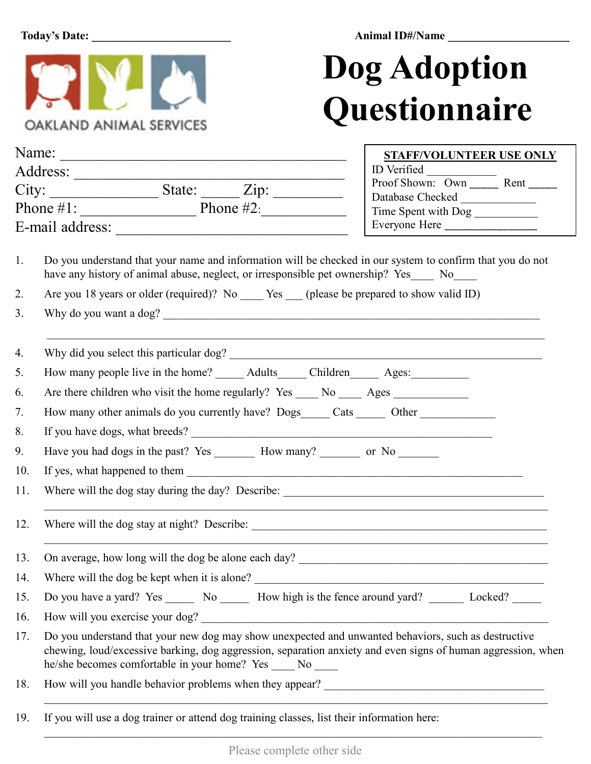**Today's Date: \_\_\_\_\_\_\_\_\_\_\_\_\_\_\_\_\_\_\_\_\_\_\_\_ Animal ID#/Name \_\_\_\_\_\_\_\_\_\_\_\_\_\_\_\_\_\_\_\_\_**



## **Dog Adoption Questionnaire**

|     |                                                                                                                                                                                                                                                                                    | <b>STAFF/VOLUNTEER USE ONLY</b>                  |  |
|-----|------------------------------------------------------------------------------------------------------------------------------------------------------------------------------------------------------------------------------------------------------------------------------------|--------------------------------------------------|--|
|     | Address:                                                                                                                                                                                                                                                                           |                                                  |  |
|     |                                                                                                                                                                                                                                                                                    | Proof Shown: Own Rent ______<br>Database Checked |  |
|     | Phone $\#1$ : Phone $\#2$ :                                                                                                                                                                                                                                                        | Time Spent with Dog                              |  |
|     |                                                                                                                                                                                                                                                                                    |                                                  |  |
| 1.  | Do you understand that your name and information will be checked in our system to confirm that you do not<br>have any history of animal abuse, neglect, or irresponsible pet ownership? Yes____ No____                                                                             |                                                  |  |
| 2.  | Are you 18 years or older (required)? No _____ Yes ____ (please be prepared to show valid ID)                                                                                                                                                                                      |                                                  |  |
| 3.  | Why do you want a dog?                                                                                                                                                                                                                                                             |                                                  |  |
| 4.  |                                                                                                                                                                                                                                                                                    |                                                  |  |
| 5.  | How many people live in the home? _______ Adults_______ Children________ Ages:____________                                                                                                                                                                                         |                                                  |  |
| 6.  | Are there children who visit the home regularly? Yes _____ No _____ Ages _____________                                                                                                                                                                                             |                                                  |  |
| 7.  | How many other animals do you currently have? Dogs_____ Cats ______ Other _____________                                                                                                                                                                                            |                                                  |  |
| 8.  |                                                                                                                                                                                                                                                                                    |                                                  |  |
| 9.  | Have you had dogs in the past? Yes _________ How many? _________ or No ________                                                                                                                                                                                                    |                                                  |  |
| 10. |                                                                                                                                                                                                                                                                                    |                                                  |  |
| 11. |                                                                                                                                                                                                                                                                                    |                                                  |  |
| 12. |                                                                                                                                                                                                                                                                                    |                                                  |  |
| 13. | On average, how long will the dog be alone each day?                                                                                                                                                                                                                               |                                                  |  |
|     | 14. Where will the dog be kept when it is alone?                                                                                                                                                                                                                                   |                                                  |  |
| 15. | Do you have a yard? Yes _______ No _______ How high is the fence around yard? ________ Locked? ______                                                                                                                                                                              |                                                  |  |
| 16. | How will you exercise your dog?                                                                                                                                                                                                                                                    |                                                  |  |
| 17. | Do you understand that your new dog may show unexpected and unwanted behaviors, such as destructive<br>chewing, loud/excessive barking, dog aggression, separation anxiety and even signs of human aggression, when<br>he/she becomes comfortable in your home? Yes _____ No _____ |                                                  |  |
| 18. |                                                                                                                                                                                                                                                                                    |                                                  |  |

19. If you will use a dog trainer or attend dog training classes, list their information here:  $\_$  , and the set of the set of the set of the set of the set of the set of the set of the set of the set of the set of the set of the set of the set of the set of the set of the set of the set of the set of the set of th